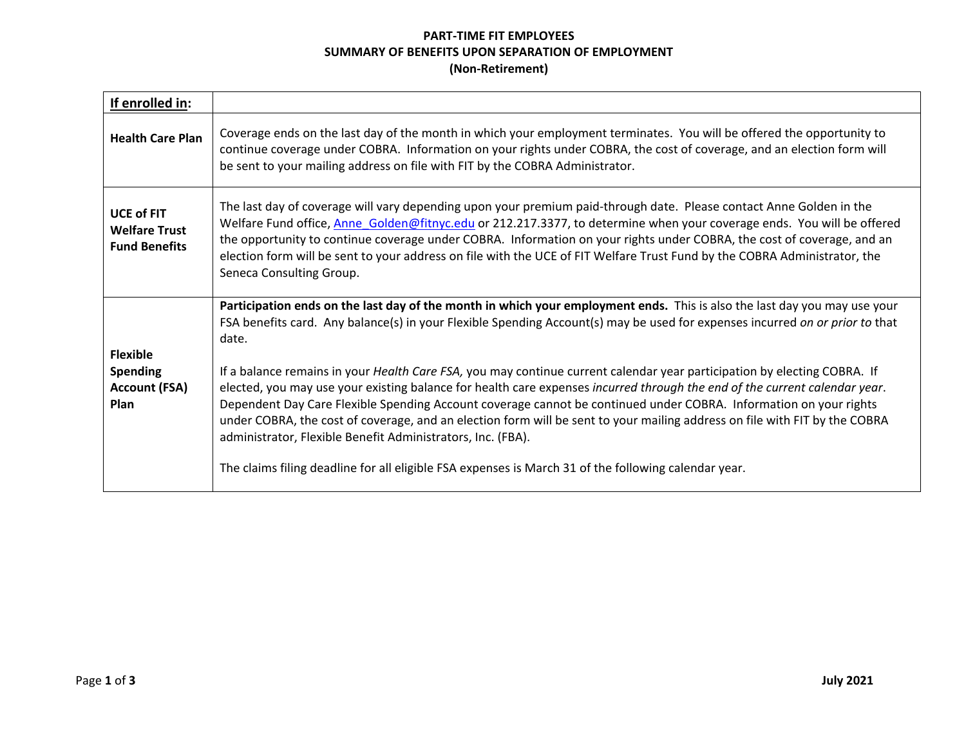## **PART-TIME FIT EMPLOYEES SUMMARY OF BENEFITS UPON SEPARATION OF EMPLOYMENT (Non-Retirement)**

| If enrolled in:                                                    |                                                                                                                                                                                                                                                                                                                                                                                                                                                                                                                                                                                                                                                                                                                                                                                                                                                                                                                                                        |
|--------------------------------------------------------------------|--------------------------------------------------------------------------------------------------------------------------------------------------------------------------------------------------------------------------------------------------------------------------------------------------------------------------------------------------------------------------------------------------------------------------------------------------------------------------------------------------------------------------------------------------------------------------------------------------------------------------------------------------------------------------------------------------------------------------------------------------------------------------------------------------------------------------------------------------------------------------------------------------------------------------------------------------------|
| <b>Health Care Plan</b>                                            | Coverage ends on the last day of the month in which your employment terminates. You will be offered the opportunity to<br>continue coverage under COBRA. Information on your rights under COBRA, the cost of coverage, and an election form will<br>be sent to your mailing address on file with FIT by the COBRA Administrator.                                                                                                                                                                                                                                                                                                                                                                                                                                                                                                                                                                                                                       |
| <b>UCE of FIT</b><br><b>Welfare Trust</b><br><b>Fund Benefits</b>  | The last day of coverage will vary depending upon your premium paid-through date. Please contact Anne Golden in the<br>Welfare Fund office, Anne Golden@fitnyc.edu or 212.217.3377, to determine when your coverage ends. You will be offered<br>the opportunity to continue coverage under COBRA. Information on your rights under COBRA, the cost of coverage, and an<br>election form will be sent to your address on file with the UCE of FIT Welfare Trust Fund by the COBRA Administrator, the<br>Seneca Consulting Group.                                                                                                                                                                                                                                                                                                                                                                                                                       |
| <b>Flexible</b><br><b>Spending</b><br><b>Account (FSA)</b><br>Plan | Participation ends on the last day of the month in which your employment ends. This is also the last day you may use your<br>FSA benefits card. Any balance(s) in your Flexible Spending Account(s) may be used for expenses incurred on or prior to that<br>date.<br>If a balance remains in your Health Care FSA, you may continue current calendar year participation by electing COBRA. If<br>elected, you may use your existing balance for health care expenses incurred through the end of the current calendar year.<br>Dependent Day Care Flexible Spending Account coverage cannot be continued under COBRA. Information on your rights<br>under COBRA, the cost of coverage, and an election form will be sent to your mailing address on file with FIT by the COBRA<br>administrator, Flexible Benefit Administrators, Inc. (FBA).<br>The claims filing deadline for all eligible FSA expenses is March 31 of the following calendar year. |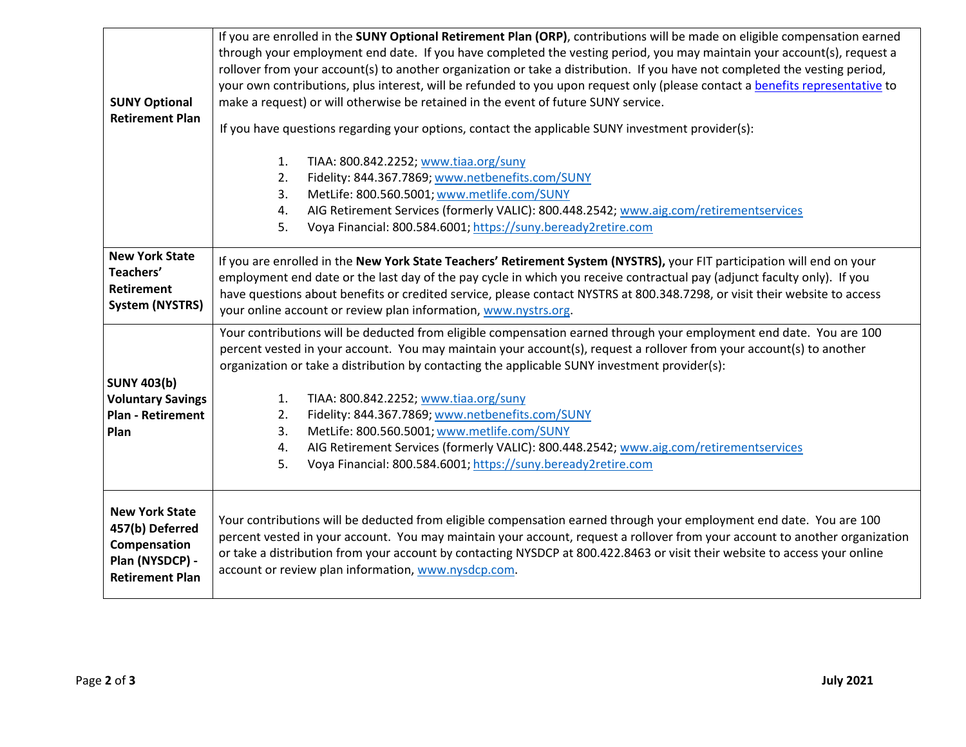| <b>SUNY Optional</b><br><b>Retirement Plan</b>                                                        | If you are enrolled in the SUNY Optional Retirement Plan (ORP), contributions will be made on eligible compensation earned<br>through your employment end date. If you have completed the vesting period, you may maintain your account(s), request a<br>rollover from your account(s) to another organization or take a distribution. If you have not completed the vesting period,<br>your own contributions, plus interest, will be refunded to you upon request only (please contact a benefits representative to<br>make a request) or will otherwise be retained in the event of future SUNY service. |
|-------------------------------------------------------------------------------------------------------|-------------------------------------------------------------------------------------------------------------------------------------------------------------------------------------------------------------------------------------------------------------------------------------------------------------------------------------------------------------------------------------------------------------------------------------------------------------------------------------------------------------------------------------------------------------------------------------------------------------|
|                                                                                                       | If you have questions regarding your options, contact the applicable SUNY investment provider(s):<br>TIAA: 800.842.2252; www.tiaa.org/suny<br>1.<br>Fidelity: 844.367.7869; www.netbenefits.com/SUNY<br>2.                                                                                                                                                                                                                                                                                                                                                                                                  |
|                                                                                                       | MetLife: 800.560.5001; www.metlife.com/SUNY<br>3.<br>AIG Retirement Services (formerly VALIC): 800.448.2542; www.aig.com/retirementservices<br>4.<br>5.<br>Voya Financial: 800.584.6001; https://suny.beready2retire.com                                                                                                                                                                                                                                                                                                                                                                                    |
| <b>New York State</b><br>Teachers'<br><b>Retirement</b><br><b>System (NYSTRS)</b>                     | If you are enrolled in the New York State Teachers' Retirement System (NYSTRS), your FIT participation will end on your<br>employment end date or the last day of the pay cycle in which you receive contractual pay (adjunct faculty only). If you<br>have questions about benefits or credited service, please contact NYSTRS at 800.348.7298, or visit their website to access<br>your online account or review plan information, www.nystrs.org.                                                                                                                                                        |
| <b>SUNY 403(b)</b>                                                                                    | Your contributions will be deducted from eligible compensation earned through your employment end date. You are 100<br>percent vested in your account. You may maintain your account(s), request a rollover from your account(s) to another<br>organization or take a distribution by contacting the applicable SUNY investment provider(s):                                                                                                                                                                                                                                                                |
| <b>Voluntary Savings</b><br><b>Plan - Retirement</b><br>Plan                                          | TIAA: 800.842.2252; www.tiaa.org/suny<br>1.<br>Fidelity: 844.367.7869; www.netbenefits.com/SUNY<br>2.<br>MetLife: 800.560.5001; www.metlife.com/SUNY<br>3.<br>AIG Retirement Services (formerly VALIC): 800.448.2542; www.aig.com/retirementservices<br>4.<br>5.<br>Voya Financial: 800.584.6001; https://suny.beready2retire.com                                                                                                                                                                                                                                                                           |
| <b>New York State</b><br>457(b) Deferred<br>Compensation<br>Plan (NYSDCP) -<br><b>Retirement Plan</b> | Your contributions will be deducted from eligible compensation earned through your employment end date. You are 100<br>percent vested in your account. You may maintain your account, request a rollover from your account to another organization<br>or take a distribution from your account by contacting NYSDCP at 800.422.8463 or visit their website to access your online<br>account or review plan information, www.nysdcp.com.                                                                                                                                                                     |